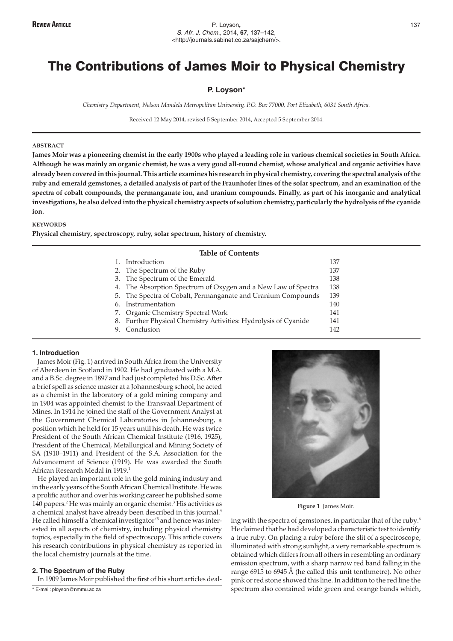# The Contributions of James Moir to Physical Chemistry

## **P. Loyson\***

*Chemistry Department, Nelson Mandela Metropolitan University, P.O. Box 77000, Port Elizabeth, 6031 South Africa.*

Received 12 May 2014, revised 5 September 2014, Accepted 5 September 2014.

## **ABSTRACT**

**James Moir was a pioneering chemist in the early 1900s who played a leading role in various chemical societies in South Africa. Although he was mainly an organic chemist, he was a very good all-round chemist, whose analytical and organic activities have already been covered in this journal. This article examines his research in physical chemistry, covering the spectral analysis of the ruby and emerald gemstones, a detailed analysis of part of the Fraunhofer lines of the solar spectrum, and an examination of the spectra of cobalt compounds, the permanganate ion, and uranium compounds. Finally, as part of his inorganic and analytical investigations, he also delved into the physical chemistry aspects of solution chemistry, particularly the hydrolysis of the cyanide ion.**

## **KEYWORDS**

**Physical chemistry, spectroscopy, ruby, solar spectrum, history of chemistry.**

# **Table of Contents**

|    | 1. Introduction                                                 | 137 |
|----|-----------------------------------------------------------------|-----|
|    | 2. The Spectrum of the Ruby                                     | 137 |
|    | 3. The Spectrum of the Emerald                                  | 138 |
|    | 4. The Absorption Spectrum of Oxygen and a New Law of Spectra   | 138 |
|    | 5. The Spectra of Cobalt, Permanganate and Uranium Compounds    | 139 |
| 6. | Instrumentation                                                 | 140 |
|    | 7. Organic Chemistry Spectral Work                              | 141 |
|    | 8. Further Physical Chemistry Activities: Hydrolysis of Cyanide | 141 |
| 9. | Conclusion                                                      | 142 |

#### **1. Introduction**

James Moir (Fig. 1) arrived in South Africa from the University of Aberdeen in Scotland in 1902. He had graduated with a M.A. and a B.Sc. degree in 1897 and had just completed his D.Sc. After a brief spell as science master at a Johannesburg school, he acted as a chemist in the laboratory of a gold mining company and in 1904 was appointed chemist to the Transvaal Department of Mines. In 1914 he joined the staff of the Government Analyst at the Government Chemical Laboratories in Johannesburg, a position which he held for 15 years until his death. He was twice President of the South African Chemical Institute (1916, 1925), President of the Chemical, Metallurgical and Mining Society of SA (1910–1911) and President of the S.A. Association for the Advancement of Science (1919). He was awarded the South African Research Medal in 1919.1

He played an important role in the gold mining industry and in the early years of the South African Chemical Institute. He was a prolific author and over his working career he published some 140 papers.2 He was mainly an organic chemist.3 His activities as a chemical analyst have already been described in this journal.<sup>4</sup> He called himself a 'chemical investigator'<sup>5</sup> and hence was interested in all aspects of chemistry, including physical chemistry topics, especially in the field of spectroscopy. This article covers his research contributions in physical chemistry as reported in the local chemistry journals at the time.

#### **2. The Spectrum of the Ruby**

In 1909 James Moir published the first of his short articles deal-



**Figure 1** James Moir.

ing with the spectra of gemstones, in particular that of the ruby.<sup>6</sup> He claimed that he had developed a characteristic test to identify a true ruby. On placing a ruby before the slit of a spectroscope, illuminated with strong sunlight, a very remarkable spectrum is obtained which differs from all others in resembling an ordinary emission spectrum, with a sharp narrow red band falling in the range 6915 to 6945 Å (he called this unit tenthmetre). No other pink or red stone showed this line. In addition to the red line the spectrum also contained wide green and orange bands which,

<sup>\*</sup> E-mail: ployson@nmmu.ac.za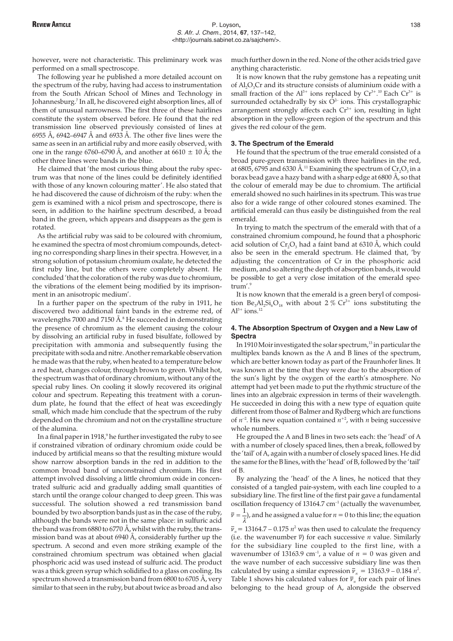however, were not characteristic. This preliminary work was performed on a small spectroscope.

The following year he published a more detailed account on the spectrum of the ruby, having had access to instrumentation from the South African School of Mines and Technology in Johannesburg.7 In all, he discovered eight absorption lines, all of them of unusual narrowness. The first three of these hairlines constitute the system observed before. He found that the red transmission line observed previously consisted of lines at 6955 Å, 6942–6947 Å and 6933 Å. The other five lines were the same as seen in an artificial ruby and more easily observed, with one in the range 6760–6790 Å, and another at 6610  $\pm$  10 Å; the other three lines were bands in the blue.

He claimed that 'the most curious thing about the ruby spectrum was that none of the lines could be definitely identified with those of any known colouring matter'. He also stated that he had discovered the cause of dichroism of the ruby: when the gem is examined with a nicol prism and spectroscope, there is seen, in addition to the hairline spectrum described, a broad band in the green, which appears and disappears as the gem is rotated.

As the artificial ruby was said to be coloured with chromium, he examined the spectra of most chromium compounds, detecting no corresponding sharp lines in their spectra. However, in a strong solution of potassium chromium oxalate, he detected the first ruby line, but the others were completely absent. He concluded 'that the coloration of the ruby was due to chromium, the vibrations of the element being modified by its imprisonment in an anisotropic medium'.

In a further paper on the spectrum of the ruby in 1911, he discovered two additional faint bands in the extreme red, of wavelengths 7000 and 7150 Å. $8$  He succeeded in demonstrating the presence of chromium as the element causing the colour by dissolving an artificial ruby in fused bisulfate, followed by precipitation with ammonia and subsequently fusing the precipitate with soda and nitre. Another remarkable observation he made was that the ruby, when heated to a temperature below a red heat, changes colour, through brown to green. Whilst hot, the spectrum was that of ordinary chromium, without any of the special ruby lines. On cooling it slowly recovered its original colour and spectrum. Repeating this treatment with a corundum plate, he found that the effect of heat was exceedingly small, which made him conclude that the spectrum of the ruby depended on the chromium and not on the crystalline structure of the alumina.

In a final paper in  $1918<sup>9</sup>$ , he further investigated the ruby to see if constrained vibration of ordinary chromium oxide could be induced by artificial means so that the resulting mixture would show narrow absorption bands in the red in addition to the common broad band of unconstrained chromium. His first attempt involved dissolving a little chromium oxide in concentrated sulfuric acid and gradually adding small quantities of starch until the orange colour changed to deep green. This was successful. The solution showed a red transmission band bounded by two absorption bands just as in the case of the ruby, although the bands were not in the same place: in sulfuric acid the band was from 6880 to 6770 Å, whilst with the ruby, the transmission band was at about 6940 Å, considerably further up the spectrum. A second and even more striking example of the constrained chromium spectrum was obtained when glacial phosphoric acid was used instead of sulfuric acid. The product was a thick green syrup which solidified to a glass on cooling. Its spectrum showed a transmission band from 6800 to 6705 Å, very similar to that seen in the ruby, but about twice as broad and also

much further down in the red. None of the other acids tried gave anything characteristic.

It is now known that the ruby gemstone has a repeating unit of  $AI_2O_3Cr$  and its structure consists of aluminium oxide with a small fraction of the  $Al^{3+}$  ions replaced by  $Cr^{3+}$ .<sup>10</sup> Each  $Cr^{3+}$  is surrounded octahedrally by six  $O<sup>2-</sup>$  ions. This crystallographic arrangement strongly affects each  $Cr<sup>3+</sup>$  ion, resulting in light absorption in the yellow-green region of the spectrum and this gives the red colour of the gem.

#### **3. The Spectrum of the Emerald**

He found that the spectrum of the true emerald consisted of a broad pure-green transmission with three hairlines in the red, at 6805, 6795 and 6330 Å.<sup>11</sup> Examining the spectrum of  $Cr_2O_3$  in a borax bead gave a hazy band with a sharp edge at 6800 Å, so that the colour of emerald may be due to chromium. The artificial emerald showed no such hairlines in its spectrum. This was true also for a wide range of other coloured stones examined. The artificial emerald can thus easily be distinguished from the real emerald.

In trying to match the spectrum of the emerald with that of a constrained chromium compound, he found that a phosphoric acid solution of  $Cr_2O_3$  had a faint band at 6310 Å, which could also be seen in the emerald spectrum. He claimed that, 'by adjusting the concentration of Cr in the phosphoric acid medium, and so altering the depth of absorption bands, it would be possible to get a very close imitation of the emerald spectrum'.9

It is now known that the emerald is a green beryl of composition  $Be_3Al_2Si_6O_{18}$  with about 2 %  $Cr^{3+}$  ions substituting the  $Al^{3+}$  ions.<sup>12</sup>

## **4. The Absorption Spectrum of Oxygen and a New Law of Spectra**

In 1910 Moir investigated the solar spectrum,<sup>13</sup> in particular the multiplex bands known as the A and B lines of the spectrum, which are better known today as part of the Fraunhofer lines. It was known at the time that they were due to the absorption of the sun's light by the oxygen of the earth's atmosphere. No attempt had yet been made to put the rhythmic structure of the lines into an algebraic expression in terms of their wavelength. He succeeded in doing this with a new type of equation quite different from those of Balmer and Rydberg which are functions of  $n^{-2}$ . His new equation contained  $n^{+2}$ , with *n* being successive whole numbers.

He grouped the A and B lines in two sets each: the 'head' of A with a number of closely spaced lines, then a break, followed by the 'tail' of A, again with a number of closely spaced lines. He did the same for the B lines, with the 'head' of B, followed by the 'tail' of B.

By analyzing the 'head' of the A lines, he noticed that they consisted of a tangled pair-system, with each line coupled to a subsidiary line. The first line of the first pair gave a fundamental oscillation frequency of 13164.7  $cm^{-1}$  (actually the wavenumber,  $\bar{\nu} = \frac{1}{\lambda}$ ), and he assigned a value for  $n = 0$  to this line; the equation

 $\bar{v}_n$  = 13164.7 – 0.175  $n^2$  was then used to calculate the frequency (i.e. the wavenumber  $\overline{v}$ ) for each successive *n* value. Similarly for the subsidiary line coupled to the first line, with a wavenumber of 13163.9 cm<sup>-1</sup>, a value of  $n = 0$  was given and the wave number of each successive subsidiary line was then calculated by using a similar expression  $\bar{v}_n = 13163.9 - 0.184 n^2$ . Table 1 shows his calculated values for  $\overline{v}_n$  for each pair of lines belonging to the head group of A, alongside the observed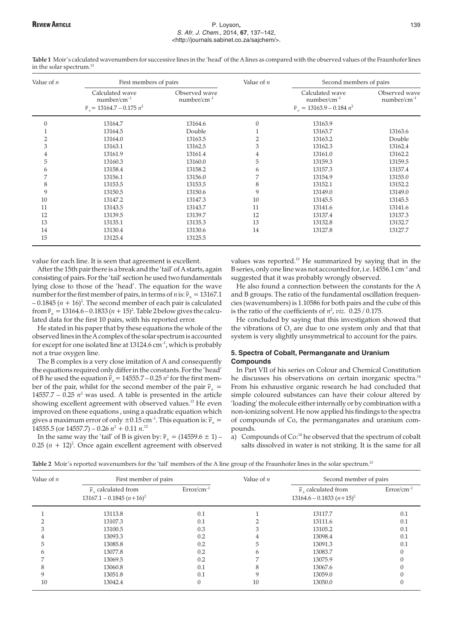#### REVIEW **A**RTICLE P. Loyson**,** 139 S. Afr. J. Chem., 2014, **67**, 137–142, <http://journals.sabinet.co.za/sajchem/>.

| Value of $n$   | First members of pairs                                                     |                                   | Value of $n$ | Second members of pairs                                                  |                                   |
|----------------|----------------------------------------------------------------------------|-----------------------------------|--------------|--------------------------------------------------------------------------|-----------------------------------|
|                | Calculated wave<br>$number/cm^{-1}$<br>$\bar{v}_r$ = 13164.7 – 0.175 $n^2$ | Observed wave<br>$number/cm^{-1}$ |              | Calculated wave<br>$number/cm^{-1}$<br>$\bar{v}_r = 13163.9 - 0.184 n^2$ | Observed wave<br>$number/cm^{-1}$ |
| $\mathbf{0}$   | 13164.7                                                                    | 13164.6                           | $\Omega$     | 13163.9                                                                  |                                   |
|                | 13164.5                                                                    | Double                            |              | 13163.7                                                                  | 13163.6                           |
| $\overline{2}$ | 13164.0                                                                    | 13163.5                           | 2            | 13163.2                                                                  | Double                            |
| 3              | 13163.1                                                                    | 13162.5                           | 3            | 13162.3                                                                  | 13162.4                           |
| 4              | 13161.9                                                                    | 13161.4                           | 4            | 13161.0                                                                  | 13162.2                           |
| 5              | 13160.3                                                                    | 13160.0                           | 5            | 13159.3                                                                  | 13159.5                           |
| 6              | 13158.4                                                                    | 13158.2                           | 6            | 13157.3                                                                  | 13157.4                           |
| 7              | 13156.1                                                                    | 13156.0                           | 7            | 13154.9                                                                  | 13155.0                           |
| 8              | 13153.5                                                                    | 13153.5                           | 8            | 13152.1                                                                  | 13152.2                           |
| 9              | 13150.5                                                                    | 13150.6                           | 9            | 13149.0                                                                  | 13149.0                           |
| 10             | 13147.2                                                                    | 13147.3                           | 10           | 13145.5                                                                  | 13145.5                           |
| 11             | 13143.5                                                                    | 13143.7                           | 11           | 13141.6                                                                  | 13141.6                           |
| 12             | 13139.5                                                                    | 13139.7                           | 12           | 13137.4                                                                  | 13137.3                           |
| 13             | 13135.1                                                                    | 13135.3                           | 13           | 13132.8                                                                  | 13132.7                           |
| 14             | 13130.4                                                                    | 13130.6                           | 14           | 13127.8                                                                  | 13127.7                           |
| 15             | 13125.4                                                                    | 13125.5                           |              |                                                                          |                                   |

**Table 1** Moir's calculated wavenumbers for successive lines in the 'head' of the A lines as compared with the observed values of the Fraunhofer lines in the solar spectrum.<sup>13</sup>

value for each line. It is seen that agreement is excellent.

After the 15th pair there is a break and the 'tail' of A starts, again consisting of pairs. For the 'tail' section he used two fundamentals lying close to those of the 'head'. The equation for the wave number for the first member of pairs, in terms of *n* is:  $\bar{v}_n = 13167.1$  $-0.1845 (n + 16)^2$ . The second member of each pair is calculated from  $\bar{v}_n = 13164.6 - 0.1833 (n + 15)^2$ . Table 2 below gives the calculated data for the first 10 pairs, with his reported error.

He stated in his paper that by these equations the whole of the observed lines in the A complex of the solar spectrum is accounted for except for one isolated line at 13124.6  $cm^{-1}$ , which is probably not a true oxygen line.

The B complex is a very close imitation of A and consequently the equations required only differ in the constants. For the 'head' of B he used the equation  $\bar{v}_n = 14555.7 - 0.25 n^2$  for the first member of the pair, whilst for the second member of the pair  $\overline{v}_n$  = 14557.7 –  $0.25$   $n^2$  was used. A table is presented in the article showing excellent agreement with observed values.13 He even improved on these equations , using a quadratic equation which gives a maximum error of only  $\pm 0.15$  cm<sup>-1</sup>. This equation is:  $\bar{v}_n =$ 14555.5 (or 14557.7) – 0.26 *n*<sup>2</sup> + 0.11 *n*. 13

In the same way the 'tail' of B is given by:  $\overline{v}_n = (14559.6 \pm 1)$  –  $0.25$   $(n + 12)^2$ . Once again excellent agreement with observed

values was reported.<sup>13</sup> He summarized by saying that in the B series, only one line was not accounted for, i.e.  $14556.1 \text{ cm}^{-1}$  and suggested that it was probably wrongly observed.

He also found a connection between the constants for the A and B groups. The ratio of the fundamental oscillation frequencies (wavenumbers) is 1.10586 for both pairs and the cube of this is the ratio of the coefficients of  $n^2$ , *viz*.  $0.25 / 0.175$ .

He concluded by saying that this investigation showed that the vibrations of  $O<sub>2</sub>$  are due to one system only and that that system is very slightly unsymmetrical to account for the pairs.

## **5. Spectra of Cobalt, Permanganate and Uranium Compounds**

In Part VII of his series on Colour and Chemical Constitution he discusses his observations on certain inorganic spectra.<sup>14</sup> From his exhaustive organic research he had concluded that simple coloured substances can have their colour altered by 'loading' the molecule either internally or by combination with a non-ionizing solvent. He now applied his findings to the spectra of compounds of Co, the permanganates and uranium compounds.

a) Compounds of Co: $<sup>14</sup>$  he observed that the spectrum of cobalt</sup> salts dissolved in water is not striking. It is the same for all

| Table 2 Moir's reported wavenumbers for the 'tail' members of the A line group of the Fraunhofer lines in the solar spectrum. <sup>13</sup> |  |
|---------------------------------------------------------------------------------------------------------------------------------------------|--|
|                                                                                                                                             |  |

| Value of <i>n</i> | First member of pairs                                           |                 | Value of $n$ | Second member of pairs                                          |                 |
|-------------------|-----------------------------------------------------------------|-----------------|--------------|-----------------------------------------------------------------|-----------------|
|                   | $\overline{v}_n$ calculated from<br>$13167.1 - 0.1845 (n+16)^2$ | $Error/cm^{-1}$ |              | $\overline{v}_n$ calculated from<br>$13164.6 - 0.1833 (n+15)^2$ | $Error/cm^{-1}$ |
|                   | 13113.8                                                         | 0.1             |              | 13117.7                                                         | 0.1             |
|                   | 13107.3                                                         | 0.1             |              | 13111.6                                                         | 0.1             |
|                   | 13100.5                                                         | 0.3             |              | 13105.2                                                         | 0.1             |
|                   | 13093.3                                                         | 0.2             |              | 13098.4                                                         | 0.1             |
|                   | 13085.8                                                         | 0.2             |              | 13091.3                                                         | 0.1             |
|                   | 13077.8                                                         | 0.2             |              | 13083.7                                                         |                 |
|                   | 13069.5                                                         | 0.2             |              | 13075.9                                                         |                 |
|                   | 13060.8                                                         | 0.1             |              | 13067.6                                                         |                 |
| 9                 | 13051.8                                                         | 0.1             |              | 13059.0                                                         |                 |
| 10                | 13042.4                                                         | 0               | 10           | 13050.0                                                         |                 |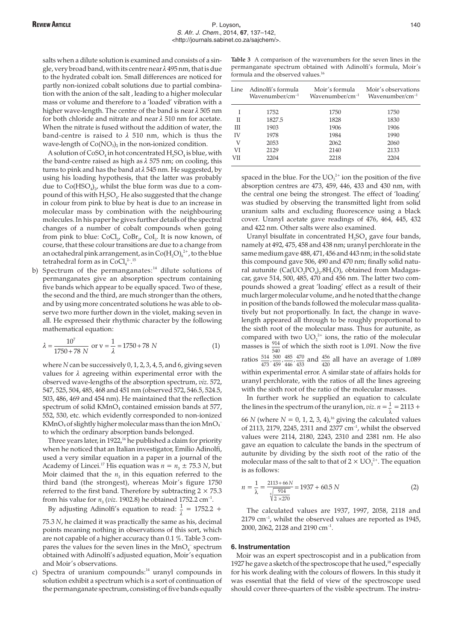salts when a dilute solution is examined and consists of a single, very broad band, with its centre near  $\lambda$  495 nm, that is due to the hydrated cobalt ion. Small differences are noticed for partly non-ionized cobalt solutions due to partial combination with the anion of the salt , leading to a higher molecular mass or volume and therefore to a 'loaded' vibration with a higher wave-length. The centre of the band is near  $\lambda$  505 nm for both chloride and nitrate and near  $\lambda$  510 nm for acetate. When the nitrate is fused without the addition of water, the band-centre is raised to  $\lambda$  510 nm, which is thus the wave-length of  $Co(NO<sub>3</sub>)<sub>2</sub>$  in the non-ionized condition.

A solution of  $\text{CoSO}_4$  in hot concentrated  $\text{H}_2\text{SO}_4$  is blue, with the band-centre raised as high as  $\lambda$  575 nm; on cooling, this turns to pink and has the band at  $\lambda$  545 nm. He suggested, by using his loading hypothesis, that the latter was probably due to  $Co(HSO_4)_2$ , whilst the blue form was due to a compound of this with  $H_2SO_4$ . He also suggested that the change in colour from pink to blue by heat is due to an increase in molecular mass by combination with the neighbouring molecules. In his paper he gives further details of the spectral changes of a number of cobalt compounds when going from pink to blue:  $CoCl<sub>2</sub> CoBr<sub>2</sub> CoI<sub>2</sub>$ . It is now known, of course, that these colour transitions are due to a change from an octahedral pink arrangement, as in Co( $\mathrm{H_2O_6}^{2+}$ , to the blue tetrahedral form as in  $CoCl<sub>4</sub><sup>2-15</sup>$ 

b) Spectrum of the permanganates:<sup>14</sup> dilute solutions of permanganates give an absorption spectrum containing five bands which appear to be equally spaced. Two of these, the second and the third, are much stronger than the others, and by using more concentrated solutions he was able to observe two more further down in the violet, making seven in all. He expressed their rhythmic character by the following mathematical equation:

$$
\lambda = \frac{10^7}{1750 + 78 \text{ N}} \text{ or } v = \frac{1}{\lambda} = 1750 + 78 \text{ N}
$$
 (1)

where *N* can be successively 0, 1, 2, 3, 4, 5, and 6, giving seven values for  $\lambda$  agreeing within experimental error with the observed wave-lengths of the absorption spectrum, *viz*. 572, 547, 525, 504, 485, 468 and 451 nm (observed 572, 546.5, 524.5, 503, 486, 469 and 454 nm). He maintained that the reflection spectrum of solid KMnO<sub>4</sub> contained emission bands at 577, 552, 530, etc. which evidently corresponded to non-ionized KMnO<sub>4</sub> of slightly higher molecular mass than the ion  $MnO_4^$ to which the ordinary absorption bands belonged.

Three years later, in 1922, $16$  he published a claim for priority when he noticed that an Italian investigator, Emilio Adinolfi, used a very similar equation in a paper in a journal of the Academy of Lincei.<sup>17</sup> His equation was  $n = n_3 \pm 75.3$  *N*, but Moir claimed that the  $n_3$  in this equation referred to the third band (the strongest), whereas Moir's figure 1750 referred to the first band. Therefore by subtracting  $2 \times 75.3$ from his value for  $n_3$  (*viz*. 1902.8) he obtained 1752.2 cm<sup>-1</sup>.

By adjusting Adinolfi's equation to read:  $\frac{1}{\lambda} = 1752.2 +$ 

75.3 *N*, he claimed it was practically the same as his, decimal points meaning nothing in observations of this sort, which are not capable of a higher accuracy than 0.1 %. Table 3 compares the values for the seven lines in the  $MnO<sub>4</sub>$ <sup>-</sup> spectrum obtained with Adinolfi's adjusted equation, Moir's equation and Moir's observations.

c) Spectra of uranium compounds:<sup>14</sup> uranyl compounds in solution exhibit a spectrum which is a sort of continuation of the permanganate spectrum, consisting of five bands equally

**Table 3** A comparison of the wavenumbers for the seven lines in the permanganate spectrum obtained with Adinolfi's formula, Moir's formula and the observed values.<sup>16</sup>

| Line | - Adinolfi's formula<br>$W$ avenumber/cm $^{-1}$ | Moir's formula<br>$Wavenumber/cm^{-1}$ | Moir's observations<br>$Wavenumber/cm^{-1}$ |
|------|--------------------------------------------------|----------------------------------------|---------------------------------------------|
|      | 1752                                             | 1750                                   | 1750                                        |
| П    | 1827.5                                           | 1828                                   | 1830                                        |
| Ш    | 1903                                             | 1906                                   | 1906                                        |
| IV   | 1978                                             | 1984                                   | 1990                                        |
| V    | 2053                                             | 2062                                   | 2060                                        |
| VI   | 2129                                             | 2140                                   | 2133                                        |
| VII  | 2204                                             | 2218                                   | 2204                                        |
|      |                                                  |                                        |                                             |

spaced in the blue. For the  $UO_2^{2+}$  ion the position of the five absorption centres are 473, 459, 446, 433 and 430 nm, with the central one being the strongest. The effect of 'loading' was studied by observing the transmitted light from solid uranium salts and excluding fluorescence using a black cover. Uranyl acetate gave readings of 476, 464, 445, 432 and 422 nm. Other salts were also examined.

Uranyl bisulfate in concentrated  $H_2SO_4$  gave four bands, namely at 492, 475, 458 and 438 nm; uranyl perchlorate in the same medium gave 488, 471, 456 and 443 nm; in the solid state this compound gave 506, 490 and 470 nm; finally solid natural autunite ( $Ca( U O<sub>2</sub> PO<sub>4</sub>)<sub>2</sub>$ .8H<sub>2</sub>O), obtained from Madagascar, gave 514, 500, 485, 470 and 456 nm. The latter two compounds showed a great 'loading' effect as a result of their much larger molecular volume, and he noted that the change in position of the bands followed the molecular mass qualitatively but not proportionally. In fact, the change in wavelength appeared all through to be roughly proportional to the sixth root of the molecular mass. Thus for autunite, as compared with two  $UO_2^{2+}$  ions, the ratio of the molecular masses is  $\frac{914}{540}$  of which the sixth root is 1.091. Now the five ratios  $\frac{514}{473}$ 500 459 485 446  $\frac{500}{459}$ ,  $\frac{485}{446}$ ,  $\frac{470}{433}$  and  $\frac{456}{420}$  all have an average of 1.089

within experimental error. A similar state of affairs holds for uranyl perchlorate, with the ratios of all the lines agreeing with the sixth root of the ratio of the molecular masses.

In further work he supplied an equation to calculate the lines in the spectrum of the uranyl ion, *viz*.  $n = \frac{1}{\lambda} = 2113 +$ 

66 *N* (where  $N = 0, 1, 2, 3, 4$ ),<sup>16</sup> giving the calculated values of 2113, 2179, 2245, 2311 and 2377 cm–1, whilst the observed values were 2114, 2180, 2243, 2310 and 2381 nm. He also gave an equation to calculate the bands in the spectrum of autunite by dividing by the sixth root of the ratio of the molecular mass of the salt to that of  $2 \times \mathrm{UO}_2^{2+}$ . The equation is as follows:

$$
n = \frac{1}{\lambda} = \frac{2113 + 66N}{\sqrt[6]{\frac{914}{2 \times 270}}} = 1937 + 60.5 N
$$
 (2)

The calculated values are 1937, 1997, 2058, 2118 and  $2179$  cm<sup>-1</sup>, whilst the observed values are reported as 1945, 2000, 2062, 2128 and 2190 cm–1.

#### **6. Instrumentation**

Moir was an expert spectroscopist and in a publication from 1927 he gave a sketch of the spectroscope that he used, $18$  especially for his work dealing with the colours of flowers. In this study it was essential that the field of view of the spectroscope used should cover three-quarters of the visible spectrum. The instru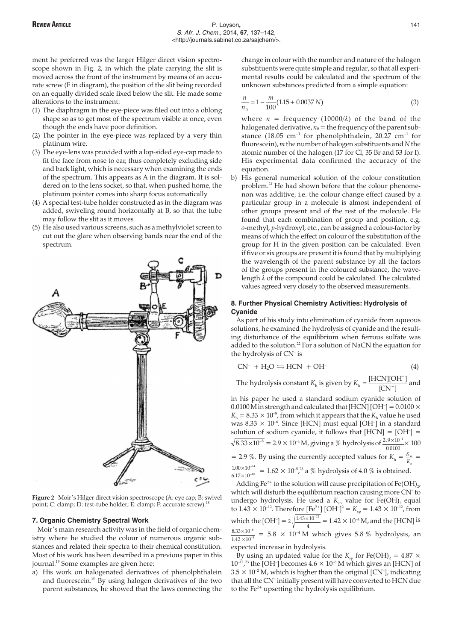ment he preferred was the larger Hilger direct vision spectroscope shown in Fig. 2, in which the plate carrying the slit is moved across the front of the instrument by means of an accurate screw (F in diagram), the position of the slit being recorded on an equally divided scale fixed below the slit. He made some alterations to the instrument:

- (1) The diaphragm in the eye-piece was filed out into a oblong shape so as to get most of the spectrum visible at once, even though the ends have poor definition.
- (2) The pointer in the eye-piece was replaced by a very thin platinum wire.
- (3) The eye-lens was provided with a lop-sided eye-cap made to fit the face from nose to ear, thus completely excluding side and back light, which is necessary when examining the ends of the spectrum. This appears as A in the diagram. It is soldered on to the lens socket, so that, when pushed home, the platinum pointer comes into sharp focus automatically
- (4) A special test-tube holder constructed as in the diagram was added, swiveling round horizontally at B, so that the tube may follow the slit as it moves
- (5) He also used various screens, such as a methylviolet screen to cut out the glare when observing bands near the end of the spectrum.



**Figure 2** Moir's Hilger direct vision spectroscope (A: eye cap; B: swivel point; C: clamp; D: test-tube holder; E: clamp; F: accurate screw).<sup>1</sup>

#### **7. Organic Chemistry Spectral Work**

Moir's main research activity was in the field of organic chemistry where he studied the colour of numerous organic substances and related their spectra to their chemical constitution. Most of his work has been described in a previous paper in this journal.<sup>19</sup> Some examples are given here:

a) His work on halogenated derivatives of phenolphthalein and fluorescein.<sup>20</sup> By using halogen derivatives of the two parent substances, he showed that the laws connecting the change in colour with the number and nature of the halogen substituents were quite simple and regular, so that all experimental results could be calculated and the spectrum of the unknown substances predicted from a simple equation:

$$
\frac{n}{n_0} = 1 - \frac{m}{100} (1.15 + 0.0037 N)
$$
\n(3)

where  $n = \text{frequency } (10000/\lambda)$  of the band of the halogenated derivative,  $n_0$  = the frequency of the parent substance (18.05 cm<sup>-1</sup> for phenolphthalein, 20.27 cm<sup>-1</sup> for fluorescein), *m* the number of halogen substituents and *N* the atomic number of the halogen (17 for Cl, 35 Br and 53 for I). His experimental data confirmed the accuracy of the equation.

b) His general numerical solution of the colour constitution problem.<sup>21</sup> He had shown before that the colour phenomenon was additive, i.e. the colour change effect caused by a particular group in a molecule is almost independent of other groups present and of the rest of the molecule. He found that each combination of group and position, e.g. *o*-methyl, *p*-hydroxyl, etc., can be assigned a colour-factor by means of which the effect on colour of the substitution of the group for H in the given position can be calculated. Even if five or six groups are present it is found that by multiplying the wavelength of the parent substance by all the factors of the groups present in the coloured substance, the wavelength  $\lambda$  of the compound could be calculated. The calculated values agreed very closely to the observed measurements.

## **8. Further Physical Chemistry Activities: Hydrolysis of Cyanide**

As part of his study into elimination of cyanide from aqueous solutions, he examined the hydrolysis of cyanide and the resulting disturbance of the equilibrium when ferrous sulfate was added to the solution.<sup>22</sup> For a solution of NaCN the equation for the hydrolysis of CN– is

$$
CN^{-} + H_{2}O \leftrightharpoons HCN + OH^{-}
$$
\n(4)

The hydrolysis constant  $K_h$  is given by  $K_h = \frac{[HCN][OH^{-1}]}{[CN^{-}]}$ [HCN][OH<sup>−</sup>]<br><sup>[CN−1</sup>]  $\frac{[CN^+]^2}{[CN^-]}$  and

in his paper he used a standard sodium cyanide solution of 0.0100 M in strength and calculated that [HCN] [OH<sup>-</sup>] =  $0.0100 \times$  $K<sub>h</sub> = 8.33 \times 10^{-8}$ , from which it appears that the  $K<sub>h</sub>$  value he used was 8.33  $\times$  10<sup>-6</sup>. Since [HCN] must equal [OH<sup>-</sup>] in a standard solution of sodium cyanide, it follows that  $[HCN] = [OH^-] =$  $8.33 \times 10^{-8} = 2.9 \times 10^{-4}$  M, giving a % hydrolysis of  $\frac{2.9 \times 10}{0.0100}$  $.9 \times 10^{-4}$ .  $\frac{\times 10^{-4}}{2400}$   $\times 100$ = 2.9 %. By using the currently accepted values for  $K_h = \frac{K_w}{K_a}$  $\frac{w}{a}$  =  $1.00 \times 10$  $6.17 \times 10$ 14  $\frac{.00\times10^{-14}}{17\times10^{-10}}$ . × ×  $\frac{-^{14}}{-10}$  = 1.62 × 10<sup>-5</sup>,<sup>23</sup> a % hydrolysis of 4.0 % is obtained.

Adding Fe<sup>2+</sup> to the solution will cause precipitation of Fe(OH)<sub>2</sub>, which will disturb the equilibrium reaction causing more CN– to undergo hydrolysis. He used a  $K_{\rm sp}$  value for Fe(OH)<sub>2</sub> equal to 1.43  $\times$  10<sup>-12</sup>. Therefore [Fe<sup>2+</sup>] [OH<sup>-</sup>]<sup>2</sup> =  $K_{\rm sp}$  = 1.43  $\times$  10<sup>-12</sup>, from which the [OH<sup>-</sup>] =  $2\sqrt{\frac{1.43 \times 10}{4}}$  $\frac{1.43 \times 10^{-12}}{1.42 \times 10^{-4}}$  M, and the [HCN] is  $8.33 \times 10$  $1.42 \times 10$ 8  $\frac{(33\times10^{-8})}{42\times10^{-4}}$ . × ×  $\frac{1}{\Gamma^4}$  = 5.8  $\times$  10<sup>-4</sup> M which gives 5.8 % hydrolysis, an

expected increase in hydrolysis.

By using an updated value for the  $K_{\text{sp}}$  for Fe(OH)<sub>2</sub> = 4.87  $\times$  $10^{-17}$ ,<sup>23</sup> the [OH<sup>-</sup>] becomes  $4.6 \times 10^{-6}$  M which gives an [HCN] of  $3.5 \times 10^{-2}$  M, which is higher than the original [CN<sup>-</sup>], indicating that all the CN– initially present will have converted to HCN due to the  $Fe<sup>2+</sup>$  upsetting the hydrolysis equilibrium.